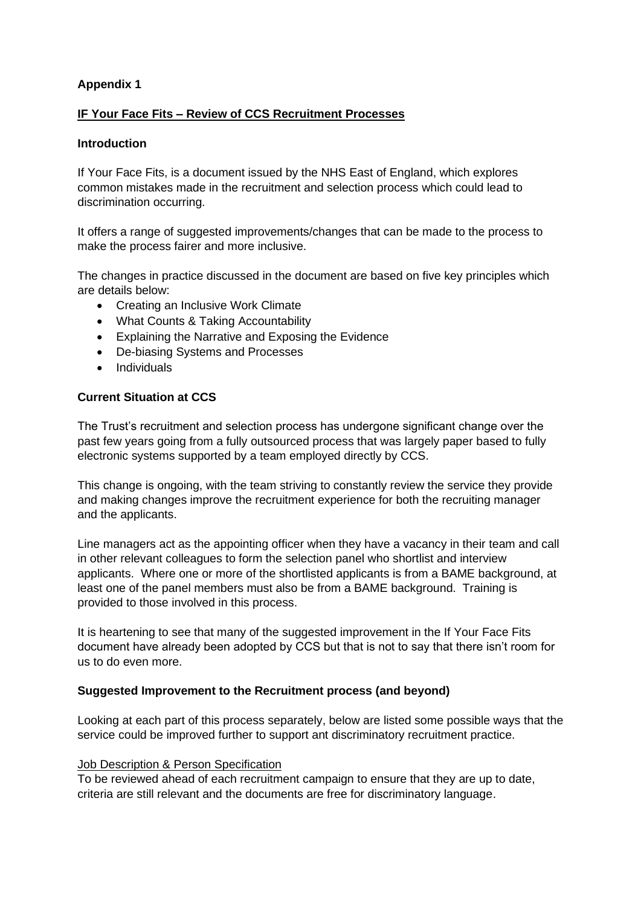# **Appendix 1**

# **IF Your Face Fits – Review of CCS Recruitment Processes**

### **Introduction**

If Your Face Fits, is a document issued by the NHS East of England, which explores common mistakes made in the recruitment and selection process which could lead to discrimination occurring.

It offers a range of suggested improvements/changes that can be made to the process to make the process fairer and more inclusive.

The changes in practice discussed in the document are based on five key principles which are details below:

- Creating an Inclusive Work Climate
- What Counts & Taking Accountability
- Explaining the Narrative and Exposing the Evidence
- De-biasing Systems and Processes
- Individuals

## **Current Situation at CCS**

The Trust's recruitment and selection process has undergone significant change over the past few years going from a fully outsourced process that was largely paper based to fully electronic systems supported by a team employed directly by CCS.

This change is ongoing, with the team striving to constantly review the service they provide and making changes improve the recruitment experience for both the recruiting manager and the applicants.

Line managers act as the appointing officer when they have a vacancy in their team and call in other relevant colleagues to form the selection panel who shortlist and interview applicants. Where one or more of the shortlisted applicants is from a BAME background, at least one of the panel members must also be from a BAME background. Training is provided to those involved in this process.

It is heartening to see that many of the suggested improvement in the If Your Face Fits document have already been adopted by CCS but that is not to say that there isn't room for us to do even more.

## **Suggested Improvement to the Recruitment process (and beyond)**

Looking at each part of this process separately, below are listed some possible ways that the service could be improved further to support ant discriminatory recruitment practice.

## **Job Description & Person Specification**

To be reviewed ahead of each recruitment campaign to ensure that they are up to date, criteria are still relevant and the documents are free for discriminatory language.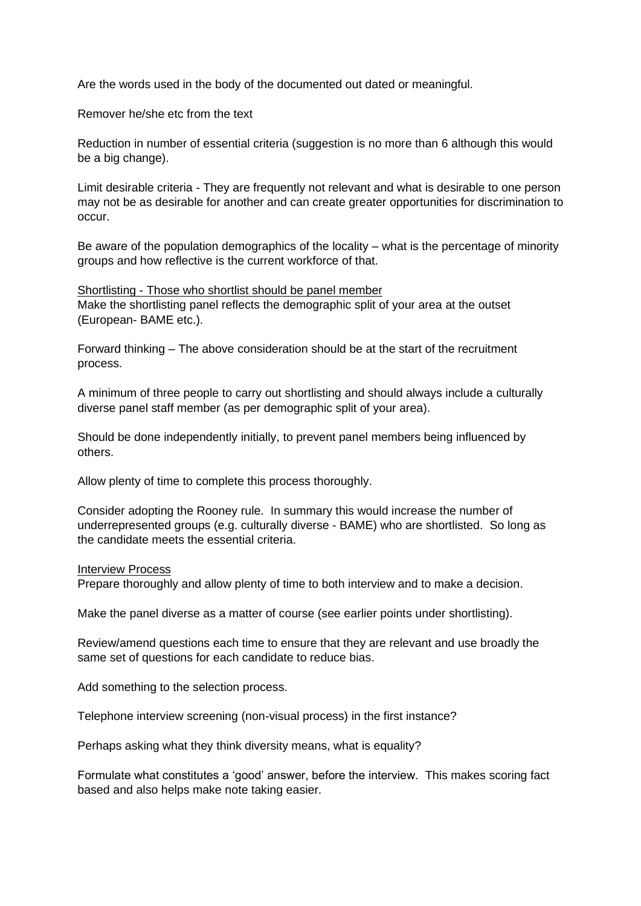Are the words used in the body of the documented out dated or meaningful.

Remover he/she etc from the text

Reduction in number of essential criteria (suggestion is no more than 6 although this would be a big change).

Limit desirable criteria - They are frequently not relevant and what is desirable to one person may not be as desirable for another and can create greater opportunities for discrimination to occur.

Be aware of the population demographics of the locality – what is the percentage of minority groups and how reflective is the current workforce of that.

Shortlisting - Those who shortlist should be panel member Make the shortlisting panel reflects the demographic split of your area at the outset (European- BAME etc.).

Forward thinking – The above consideration should be at the start of the recruitment process.

A minimum of three people to carry out shortlisting and should always include a culturally diverse panel staff member (as per demographic split of your area).

Should be done independently initially, to prevent panel members being influenced by others.

Allow plenty of time to complete this process thoroughly.

Consider adopting the Rooney rule. In summary this would increase the number of underrepresented groups (e.g. culturally diverse - BAME) who are shortlisted. So long as the candidate meets the essential criteria.

#### Interview Process

Prepare thoroughly and allow plenty of time to both interview and to make a decision.

Make the panel diverse as a matter of course (see earlier points under shortlisting).

Review/amend questions each time to ensure that they are relevant and use broadly the same set of questions for each candidate to reduce bias.

Add something to the selection process.

Telephone interview screening (non-visual process) in the first instance?

Perhaps asking what they think diversity means, what is equality?

Formulate what constitutes a 'good' answer, before the interview. This makes scoring fact based and also helps make note taking easier.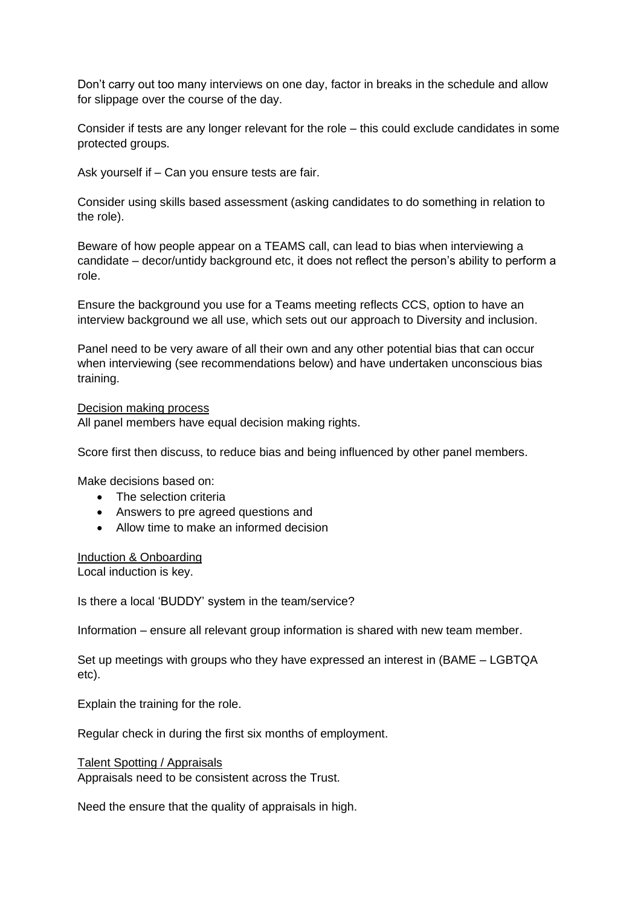Don't carry out too many interviews on one day, factor in breaks in the schedule and allow for slippage over the course of the day.

Consider if tests are any longer relevant for the role – this could exclude candidates in some protected groups.

Ask yourself if – Can you ensure tests are fair.

Consider using skills based assessment (asking candidates to do something in relation to the role).

Beware of how people appear on a TEAMS call, can lead to bias when interviewing a candidate – decor/untidy background etc, it does not reflect the person's ability to perform a role.

Ensure the background you use for a Teams meeting reflects CCS, option to have an interview background we all use, which sets out our approach to Diversity and inclusion.

Panel need to be very aware of all their own and any other potential bias that can occur when interviewing (see recommendations below) and have undertaken unconscious bias training.

### Decision making process

All panel members have equal decision making rights.

Score first then discuss, to reduce bias and being influenced by other panel members.

Make decisions based on:

- The selection criteria
- Answers to pre agreed questions and
- Allow time to make an informed decision

### Induction & Onboarding

Local induction is key.

Is there a local 'BUDDY' system in the team/service?

Information – ensure all relevant group information is shared with new team member.

Set up meetings with groups who they have expressed an interest in (BAME – LGBTQA etc).

Explain the training for the role.

Regular check in during the first six months of employment.

Talent Spotting / Appraisals Appraisals need to be consistent across the Trust.

Need the ensure that the quality of appraisals in high.